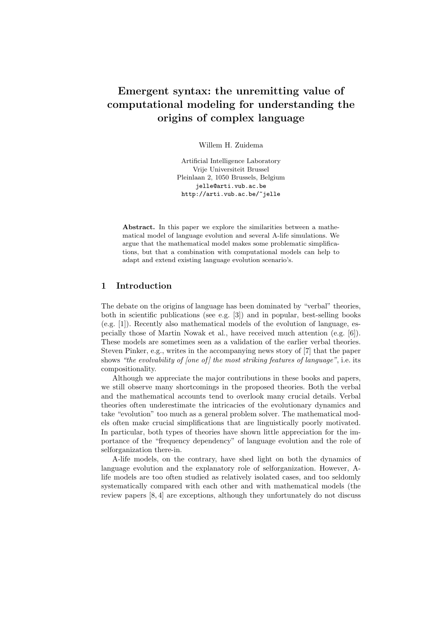# Emergent syntax: the unremitting value of computational modeling for understanding the origins of complex language

Willem H. Zuidema

Artificial Intelligence Laboratory Vrije Universiteit Brussel Pleinlaan 2, 1050 Brussels, Belgium jelle@arti.vub.ac.be http://arti.vub.ac.be/~jelle

Abstract. In this paper we explore the similarities between a mathematical model of language evolution and several A-life simulations. We argue that the mathematical model makes some problematic simplifications, but that a combination with computational models can help to adapt and extend existing language evolution scenario's.

## 1 Introduction

The debate on the origins of language has been dominated by "verbal" theories, both in scientific publications (see e.g. [3]) and in popular, best-selling books (e.g. [1]). Recently also mathematical models of the evolution of language, especially those of Martin Nowak et al., have received much attention (e.g. [6]). These models are sometimes seen as a validation of the earlier verbal theories. Steven Pinker, e.g., writes in the accompanying news story of [7] that the paper shows "the evolvability of [one of] the most striking features of language", i.e. its compositionality.

Although we appreciate the major contributions in these books and papers, we still observe many shortcomings in the proposed theories. Both the verbal and the mathematical accounts tend to overlook many crucial details. Verbal theories often underestimate the intricacies of the evolutionary dynamics and take "evolution" too much as a general problem solver. The mathematical models often make crucial simplifications that are linguistically poorly motivated. In particular, both types of theories have shown little appreciation for the importance of the "frequency dependency" of language evolution and the role of selforganization there-in.

A-life models, on the contrary, have shed light on both the dynamics of language evolution and the explanatory role of selforganization. However, Alife models are too often studied as relatively isolated cases, and too seldomly systematically compared with each other and with mathematical models (the review papers [8, 4] are exceptions, although they unfortunately do not discuss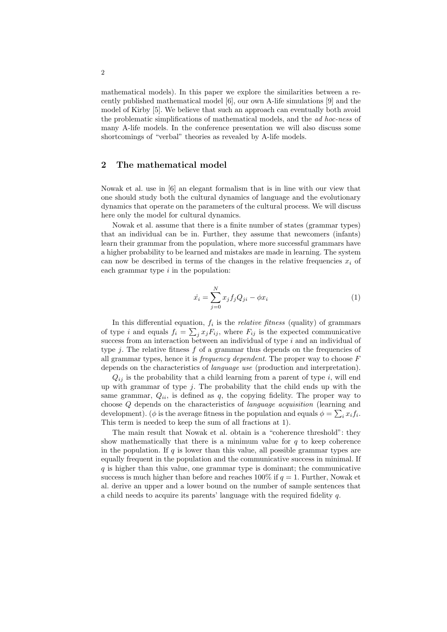mathematical models). In this paper we explore the similarities between a recently published mathematical model [6], our own A-life simulations [9] and the model of Kirby [5]. We believe that such an approach can eventually both avoid the problematic simplifications of mathematical models, and the ad hoc-ness of many A-life models. In the conference presentation we will also discuss some shortcomings of "verbal" theories as revealed by A-life models.

### 2 The mathematical model

Nowak et al. use in [6] an elegant formalism that is in line with our view that one should study both the cultural dynamics of language and the evolutionary dynamics that operate on the parameters of the cultural process. We will discuss here only the model for cultural dynamics.

Nowak et al. assume that there is a finite number of states (grammar types) that an individual can be in. Further, they assume that newcomers (infants) learn their grammar from the population, where more successful grammars have a higher probability to be learned and mistakes are made in learning. The system can now be described in terms of the changes in the relative frequencies  $x_i$  of each grammar type  $i$  in the population:

$$
\dot{x}_i = \sum_{j=0}^{N} x_j f_j Q_{ji} - \phi x_i
$$
\n(1)

In this differential equation,  $f_i$  is the *relative fitness* (quality) of grammars of type *i* and equals  $f_i = \sum_j x_j F_{ij}$ , where  $F_{ij}$  is the expected communicative success from an interaction between an individual of type  $i$  and an individual of type  $j$ . The relative fitness  $f$  of a grammar thus depends on the frequencies of all grammar types, hence it is *frequency dependent*. The proper way to choose  $F$ depends on the characteristics of *language use* (production and interpretation).

 $Q_{ij}$  is the probability that a child learning from a parent of type i, will end up with grammar of type  $j$ . The probability that the child ends up with the same grammar,  $Q_{ii}$ , is defined as q, the copying fidelity. The proper way to choose Q depends on the characteristics of language acquisition (learning and development). ( $\phi$  is the average fitness in the population and equals  $\phi = \sum_i x_i f_i$ . This term is needed to keep the sum of all fractions at 1).

The main result that Nowak et al. obtain is a "coherence threshold": they show mathematically that there is a minimum value for  $q$  to keep coherence in the population. If  $q$  is lower than this value, all possible grammar types are equally frequent in the population and the communicative success in minimal. If  $q$  is higher than this value, one grammar type is dominant; the communicative success is much higher than before and reaches  $100\%$  if  $q = 1$ . Further, Nowak et al. derive an upper and a lower bound on the number of sample sentences that a child needs to acquire its parents' language with the required fidelity q.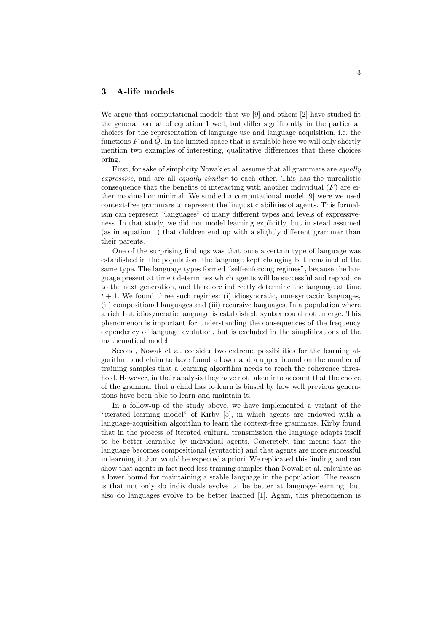### 3 A-life models

We argue that computational models that we [9] and others [2] have studied fit the general format of equation 1 well, but differ significantly in the particular choices for the representation of language use and language acquisition, i.e. the functions  $F$  and  $Q$ . In the limited space that is available here we will only shortly mention two examples of interesting, qualitative differences that these choices bring.

First, for sake of simplicity Nowak et al. assume that all grammars are *equally* expressive, and are all equally similar to each other. This has the unrealistic consequence that the benefits of interacting with another individual  $(F)$  are either maximal or minimal. We studied a computational model [9] were we used context-free grammars to represent the linguistic abilities of agents. This formalism can represent "languages" of many different types and levels of expressiveness. In that study, we did not model learning explicitly, but in stead assumed (as in equation 1) that children end up with a slightly different grammar than their parents.

One of the surprising findings was that once a certain type of language was established in the population, the language kept changing but remained of the same type. The language types formed "self-enforcing regimes", because the language present at time t determines which agents will be successful and reproduce to the next generation, and therefore indirectly determine the language at time  $t + 1$ . We found three such regimes: (i) idiosyncratic, non-syntactic languages, (ii) compositional languages and (iii) recursive languages. In a population where a rich but idiosyncratic language is established, syntax could not emerge. This phenomenon is important for understanding the consequences of the frequency dependency of language evolution, but is excluded in the simplifications of the mathematical model.

Second, Nowak et al. consider two extreme possibilities for the learning algorithm, and claim to have found a lower and a upper bound on the number of training samples that a learning algorithm needs to reach the coherence threshold. However, in their analysis they have not taken into account that the choice of the grammar that a child has to learn is biased by how well previous generations have been able to learn and maintain it.

In a follow-up of the study above, we have implemented a variant of the "iterated learning model" of Kirby [5], in which agents are endowed with a language-acquisition algorithm to learn the context-free grammars. Kirby found that in the process of iterated cultural transmission the language adapts itself to be better learnable by individual agents. Concretely, this means that the language becomes compositional (syntactic) and that agents are more successful in learning it than would be expected a priori. We replicated this finding, and can show that agents in fact need less training samples than Nowak et al. calculate as a lower bound for maintaining a stable language in the population. The reason is that not only do individuals evolve to be better at language-learning, but also do languages evolve to be better learned [1]. Again, this phenomenon is